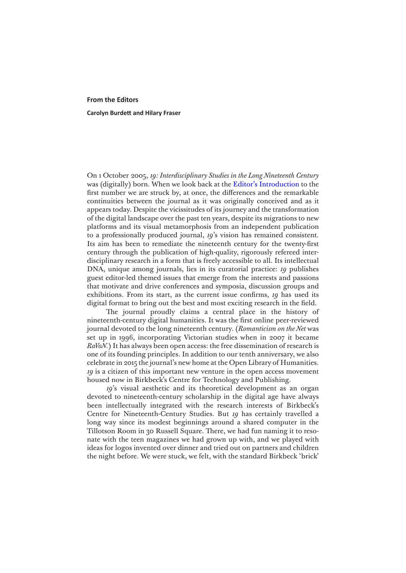## **From the Editors**

## **Carolyn Burdett and Hilary Fraser**

On 1 October 2005, *19: Interdisciplinary Studies in the Long Nineteenth Century* was (digitally) born. When we look back at the [Editor's Introduction](http://doi.org/10.16995/ntn.432) to the first number we are struck by, at once, the differences and the remarkable continuities between the journal as it was originally conceived and as it appears today. Despite the vicissitudes of its journey and the transformation of the digital landscape over the past ten years, despite its migrations to new platforms and its visual metamorphosis from an independent publication to a professionally produced journal, *19*'s vision has remained consistent. Its aim has been to remediate the nineteenth century for the twenty-first century through the publication of high-quality, rigorously refereed interdisciplinary research in a form that is freely accessible to all. Its intellectual DNA, unique among journals, lies in its curatorial practice: *19* publishes guest editor-led themed issues that emerge from the interests and passions that motivate and drive conferences and symposia, discussion groups and exhibitions. From its start, as the current issue confirms, *19* has used its digital format to bring out the best and most exciting research in the field.

The journal proudly claims a central place in the history of nineteenth-century digital humanities. It was the first online peer-reviewed journal devoted to the long nineteenth century. (*Romanticism on the Net* was set up in 1996, incorporating Victorian studies when in 2007 it became *RaVoN.*) It has always been open access: the free dissemination of research is one of its founding principles. In addition to our tenth anniversary, we also celebrate in 2015 the journal's new home at the Open Library of Humanities. *19* is a citizen of this important new venture in the open access movement housed now in Birkbeck's Centre for Technology and Publishing.

*19*'s visual aesthetic and its theoretical development as an organ devoted to nineteenth-century scholarship in the digital age have always been intellectually integrated with the research interests of Birkbeck's Centre for Nineteenth-Century Studies. But *19* has certainly travelled a long way since its modest beginnings around a shared computer in the Tillotson Room in 30 Russell Square. There, we had fun naming it to resonate with the teen magazines we had grown up with, and we played with ideas for logos invented over dinner and tried out on partners and children the night before. We were stuck, we felt, with the standard Birkbeck 'brick'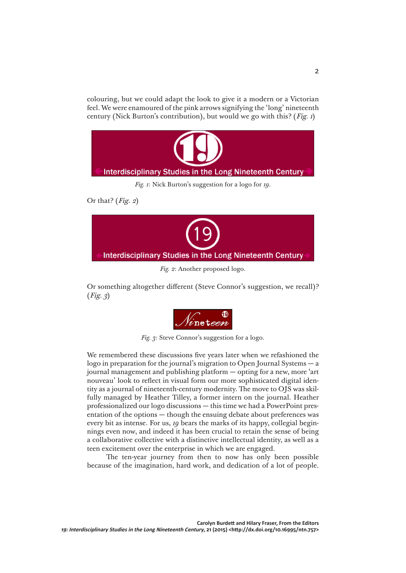colouring, but we could adapt the look to give it a modern or a Victorian feel. We were enamoured of the pink arrows signifying the 'long' nineteenth century (Nick Burton's contribution), but would we go with this? (Fig. 1)



```
Or that? (Fig. 2)
```


*Fig. 2*: Another proposed logo.

Or something altogether different (Steve Connor's suggestion, we recall)?  $(Fig. 3)$ 



*Fig. 3*: Steve Connor's suggestion for a logo.

We remembered these discussions five years later when we refashioned the logo in preparation for the journal's migration to Open Journal Systems — a journal management and publishing platform — opting for a new, more 'art nouveau' look to reflect in visual form our more sophisticated digital identity as a journal of nineteenth-century modernity. The move to OJS was skilfully managed by Heather Tilley, a former intern on the journal. Heather professionalized our logo discussions — this time we had a PowerPoint presentation of the options — though the ensuing debate about preferences was every bit as intense. For us, *19* bears the marks of its happy, collegial beginnings even now, and indeed it has been crucial to retain the sense of being a collaborative collective with a distinctive intellectual identity, as well as a teen excitement over the enterprise in which we are engaged.

The ten-year journey from then to now has only been possible because of the imagination, hard work, and dedication of a lot of people.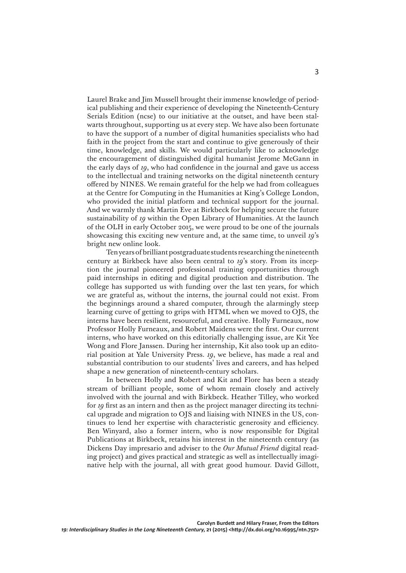Laurel Brake and Jim Mussell brought their immense knowledge of periodical publishing and their experience of developing the Nineteenth-Century Serials Edition (ncse) to our initiative at the outset, and have been stalwarts throughout, supporting us at every step. We have also been fortunate to have the support of a number of digital humanities specialists who had faith in the project from the start and continue to give generously of their time, knowledge, and skills. We would particularly like to acknowledge the encouragement of distinguished digital humanist Jerome McGann in the early days of *19*, who had confidence in the journal and gave us access to the intellectual and training networks on the digital nineteenth century offered by NINES. We remain grateful for the help we had from colleagues at the Centre for Computing in the Humanities at King's College London, who provided the initial platform and technical support for the journal. And we warmly thank Martin Eve at Birkbeck for helping secure the future sustainability of *19* within the Open Library of Humanities. At the launch of the OLH in early October 2015, we were proud to be one of the journals showcasing this exciting new venture and, at the same time, to unveil *19*'s bright new online look.

Ten years of brilliant postgraduate students researching the nineteenth century at Birkbeck have also been central to *19*'s story. From its inception the journal pioneered professional training opportunities through paid internships in editing and digital production and distribution. The college has supported us with funding over the last ten years, for which we are grateful as, without the interns, the journal could not exist. From the beginnings around a shared computer, through the alarmingly steep learning curve of getting to grips with HTML when we moved to OJS, the interns have been resilient, resourceful, and creative. Holly Furneaux, now Professor Holly Furneaux, and Robert Maidens were the first. Our current interns, who have worked on this editorially challenging issue, are Kit Yee Wong and Flore Janssen. During her internship, Kit also took up an editorial position at Yale University Press. *19*, we believe, has made a real and substantial contribution to our students' lives and careers, and has helped shape a new generation of nineteenth-century scholars.

In between Holly and Robert and Kit and Flore has been a steady stream of brilliant people, some of whom remain closely and actively involved with the journal and with Birkbeck. Heather Tilley, who worked for *19* first as an intern and then as the project manager directing its technical upgrade and migration to OJS and liaising with NINES in the US, continues to lend her expertise with characteristic generosity and efficiency. Ben Winyard, also a former intern, who is now responsible for Digital Publications at Birkbeck, retains his interest in the nineteenth century (as Dickens Day impresario and adviser to the *Our Mutual Friend* digital reading project) and gives practical and strategic as well as intellectually imaginative help with the journal, all with great good humour. David Gillott,